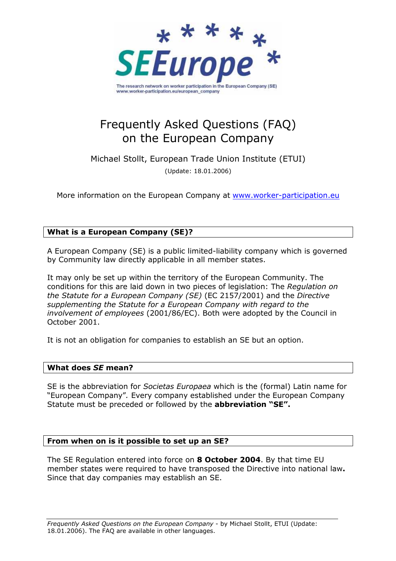

# Frequently Asked Questions (FAQ) on the European Company

Michael Stollt, European Trade Union Institute (ETUI) (Update: 18.01.2006)

More information on the European Company at www.worker-participation.eu

# What is a European Company (SE)?

A European Company (SE) is a public limited-liability company which is governed by Community law directly applicable in all member states.

It may only be set up within the territory of the European Community. The conditions for this are laid down in two pieces of legislation: The Regulation on the Statute for a European Company (SE) (EC 2157/2001) and the Directive supplementing the Statute for a European Company with regard to the involvement of employees (2001/86/EC). Both were adopted by the Council in October 2001.

It is not an obligation for companies to establish an SE but an option.

## What does SE mean?

SE is the abbreviation for Societas Europaea which is the (formal) Latin name for "European Company". Every company established under the European Company Statute must be preceded or followed by the **abbreviation "SE".** 

## From when on is it possible to set up an SE?

The SE Regulation entered into force on **8 October 2004**. By that time EU member states were required to have transposed the Directive into national law. Since that day companies may establish an SE.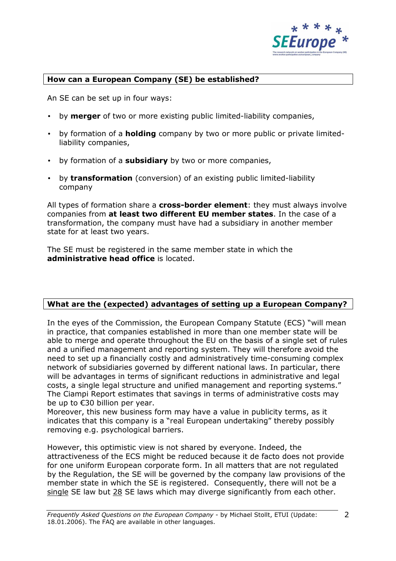

# How can a European Company (SE) be established?

An SE can be set up in four ways:

- by **merger** of two or more existing public limited-liability companies,
- by formation of a **holding** company by two or more public or private limitedliability companies,
- by formation of a **subsidiary** by two or more companies,
- by transformation (conversion) of an existing public limited-liability company

All types of formation share a cross-border element: they must always involve companies from at least two different EU member states. In the case of a transformation, the company must have had a subsidiary in another member state for at least two years.

The SE must be registered in the same member state in which the administrative head office is located.

# What are the (expected) advantages of setting up a European Company?

In the eyes of the Commission, the European Company Statute (ECS) "will mean in practice, that companies established in more than one member state will be able to merge and operate throughout the EU on the basis of a single set of rules and a unified management and reporting system. They will therefore avoid the need to set up a financially costly and administratively time-consuming complex network of subsidiaries governed by different national laws. In particular, there will be advantages in terms of significant reductions in administrative and legal costs, a single legal structure and unified management and reporting systems." The Ciampi Report estimates that savings in terms of administrative costs may be up to €30 billion per year.

Moreover, this new business form may have a value in publicity terms, as it indicates that this company is a "real European undertaking" thereby possibly removing e.g. psychological barriers.

However, this optimistic view is not shared by everyone. Indeed, the attractiveness of the ECS might be reduced because it de facto does not provide for one uniform European corporate form. In all matters that are not regulated by the Regulation, the SE will be governed by the company law provisions of the member state in which the SE is registered. Consequently, there will not be a single SE law but 28 SE laws which may diverge significantly from each other.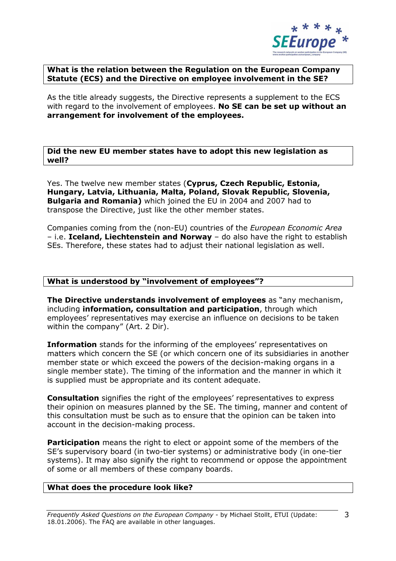

# What is the relation between the Regulation on the European Company Statute (ECS) and the Directive on employee involvement in the SE?

As the title already suggests, the Directive represents a supplement to the ECS with regard to the involvement of employees. No SE can be set up without an arrangement for involvement of the employees.

Did the new EU member states have to adopt this new legislation as well?

Yes. The twelve new member states (Cyprus, Czech Republic, Estonia, Hungary, Latvia, Lithuania, Malta, Poland, Slovak Republic, Slovenia, Bulgaria and Romania) which joined the EU in 2004 and 2007 had to transpose the Directive, just like the other member states.

Companies coming from the (non-EU) countries of the European Economic Area – i.e. Iceland, Liechtenstein and Norway – do also have the right to establish SEs. Therefore, these states had to adjust their national legislation as well.

# What is understood by "involvement of employees"?

The Directive understands involvement of employees as "any mechanism, including information, consultation and participation, through which employees' representatives may exercise an influence on decisions to be taken within the company" (Art. 2 Dir).

Information stands for the informing of the employees' representatives on matters which concern the SE (or which concern one of its subsidiaries in another member state or which exceed the powers of the decision-making organs in a single member state). The timing of the information and the manner in which it is supplied must be appropriate and its content adequate.

Consultation signifies the right of the employees' representatives to express their opinion on measures planned by the SE. The timing, manner and content of this consultation must be such as to ensure that the opinion can be taken into account in the decision-making process.

**Participation** means the right to elect or appoint some of the members of the SE's supervisory board (in two-tier systems) or administrative body (in one-tier systems). It may also signify the right to recommend or oppose the appointment of some or all members of these company boards.

# What does the procedure look like?

Frequently Asked Questions on the European Company - by Michael Stollt, ETUI (Update: 18.01.2006). The FAQ are available in other languages.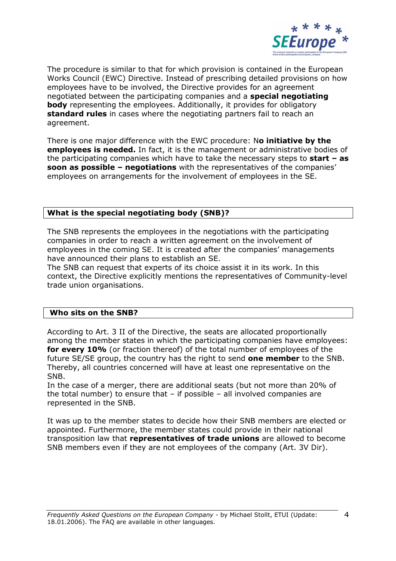

The procedure is similar to that for which provision is contained in the European Works Council (EWC) Directive. Instead of prescribing detailed provisions on how employees have to be involved, the Directive provides for an agreement negotiated between the participating companies and a special negotiating body representing the employees. Additionally, it provides for obligatory **standard rules** in cases where the negotiating partners fail to reach an agreement.

There is one major difference with the EWC procedure: No initiative by the employees is needed. In fact, it is the management or administrative bodies of the participating companies which have to take the necessary steps to **start – as** soon as possible - negotiations with the representatives of the companies' employees on arrangements for the involvement of employees in the SE.

# What is the special negotiating body (SNB)?

The SNB represents the employees in the negotiations with the participating companies in order to reach a written agreement on the involvement of employees in the coming SE. It is created after the companies' managements have announced their plans to establish an SE.

The SNB can request that experts of its choice assist it in its work. In this context, the Directive explicitly mentions the representatives of Community-level trade union organisations.

## Who sits on the SNB?

According to Art. 3 II of the Directive, the seats are allocated proportionally among the member states in which the participating companies have employees: for every 10% (or fraction thereof) of the total number of employees of the future SE/SE group, the country has the right to send **one member** to the SNB. Thereby, all countries concerned will have at least one representative on the SNB.

In the case of a merger, there are additional seats (but not more than 20% of the total number) to ensure that – if possible – all involved companies are represented in the SNB.

It was up to the member states to decide how their SNB members are elected or appointed. Furthermore, the member states could provide in their national transposition law that representatives of trade unions are allowed to become SNB members even if they are not employees of the company (Art. 3V Dir).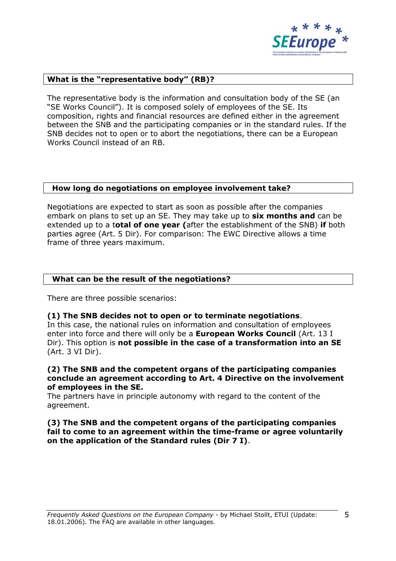

# What is the "representative body" (RB)?

The representative body is the information and consultation body of the SE (an "SE Works Council"). It is composed solely of employees of the SE. Its composition, rights and financial resources are defined either in the agreement between the SNB and the participating companies or in the standard rules. If the SNB decides not to open or to abort the negotiations, there can be a European Works Council instead of an RB.

### How long do negotiations on employee involvement take?

Negotiations are expected to start as soon as possible after the companies embark on plans to set up an SE. They may take up to six months and can be extended up to a total of one year (after the establishment of the SNB) if both parties agree (Art. 5 Dir). For comparison: The EWC Directive allows a time frame of three years maximum.

## What can be the result of the negotiations?

There are three possible scenarios:

#### (1) The SNB decides not to open or to terminate negotiations.

In this case, the national rules on information and consultation of employees enter into force and there will only be a European Works Council (Art. 13 I Dir). This option is not possible in the case of a transformation into an SE (Art. 3 VI Dir).

## (2) The SNB and the competent organs of the participating companies conclude an agreement according to Art. 4 Directive on the involvement of employees in the SE.

The partners have in principle autonomy with regard to the content of the agreement.

## (3) The SNB and the competent organs of the participating companies fail to come to an agreement within the time-frame or agree voluntarily on the application of the Standard rules (Dir 7 I).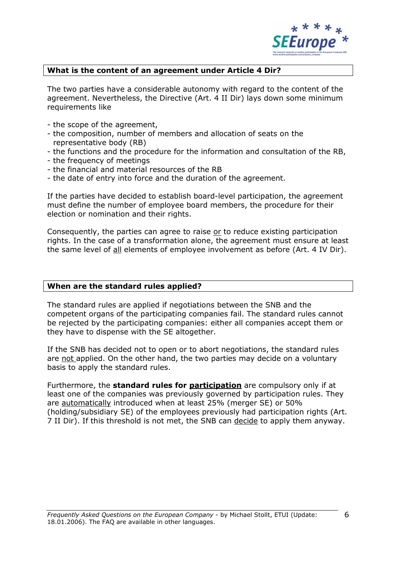

# What is the content of an agreement under Article 4 Dir?

The two parties have a considerable autonomy with regard to the content of the agreement. Nevertheless, the Directive (Art. 4 II Dir) lays down some minimum requirements like

- the scope of the agreement,
- the composition, number of members and allocation of seats on the representative body (RB)
- the functions and the procedure for the information and consultation of the RB,
- the frequency of meetings
- the financial and material resources of the RB
- the date of entry into force and the duration of the agreement.

If the parties have decided to establish board-level participation, the agreement must define the number of employee board members, the procedure for their election or nomination and their rights.

Consequently, the parties can agree to raise or to reduce existing participation rights. In the case of a transformation alone, the agreement must ensure at least the same level of all elements of employee involvement as before (Art. 4 IV Dir).

## When are the standard rules applied?

The standard rules are applied if negotiations between the SNB and the competent organs of the participating companies fail. The standard rules cannot be rejected by the participating companies: either all companies accept them or they have to dispense with the SE altogether.

If the SNB has decided not to open or to abort negotiations, the standard rules are not applied. On the other hand, the two parties may decide on a voluntary basis to apply the standard rules.

Furthermore, the **standard rules for participation** are compulsory only if at least one of the companies was previously governed by participation rules. They are automatically introduced when at least 25% (merger SE) or 50% (holding/subsidiary SE) of the employees previously had participation rights (Art. 7 II Dir). If this threshold is not met, the SNB can decide to apply them anyway.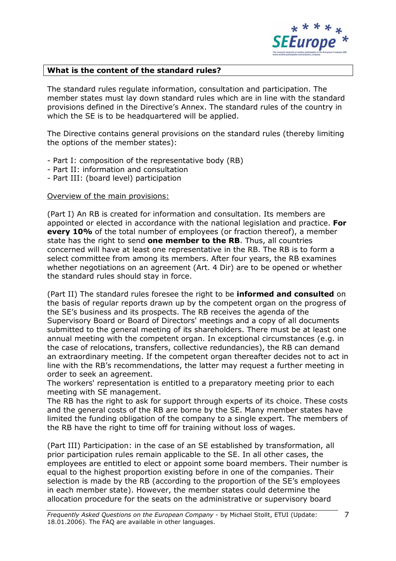

# What is the content of the standard rules?

The standard rules regulate information, consultation and participation. The member states must lay down standard rules which are in line with the standard provisions defined in the Directive's Annex. The standard rules of the country in which the SE is to be headquartered will be applied.

The Directive contains general provisions on the standard rules (thereby limiting the options of the member states):

- Part I: composition of the representative body (RB)
- Part II: information and consultation
- Part III: (board level) participation

## Overview of the main provisions:

(Part I) An RB is created for information and consultation. Its members are appointed or elected in accordance with the national legislation and practice. For every 10% of the total number of employees (or fraction thereof), a member state has the right to send one member to the RB. Thus, all countries concerned will have at least one representative in the RB. The RB is to form a select committee from among its members. After four years, the RB examines whether negotiations on an agreement (Art. 4 Dir) are to be opened or whether the standard rules should stay in force.

(Part II) The standard rules foresee the right to be **informed and consulted** on the basis of regular reports drawn up by the competent organ on the progress of the SE's business and its prospects. The RB receives the agenda of the Supervisory Board or Board of Directors' meetings and a copy of all documents submitted to the general meeting of its shareholders. There must be at least one annual meeting with the competent organ. In exceptional circumstances (e.g. in the case of relocations, transfers, collective redundancies), the RB can demand an extraordinary meeting. If the competent organ thereafter decides not to act in line with the RB's recommendations, the latter may request a further meeting in order to seek an agreement.

The workers' representation is entitled to a preparatory meeting prior to each meeting with SE management.

The RB has the right to ask for support through experts of its choice. These costs and the general costs of the RB are borne by the SE. Many member states have limited the funding obligation of the company to a single expert. The members of the RB have the right to time off for training without loss of wages.

(Part III) Participation: in the case of an SE established by transformation, all prior participation rules remain applicable to the SE. In all other cases, the employees are entitled to elect or appoint some board members. Their number is equal to the highest proportion existing before in one of the companies. Their selection is made by the RB (according to the proportion of the SE's employees in each member state). However, the member states could determine the allocation procedure for the seats on the administrative or supervisory board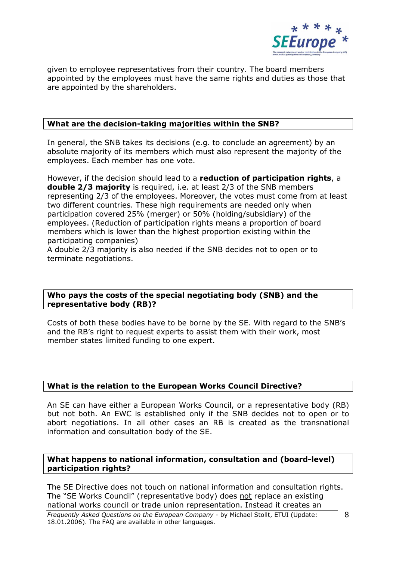

given to employee representatives from their country. The board members appointed by the employees must have the same rights and duties as those that are appointed by the shareholders.

# What are the decision-taking majorities within the SNB?

In general, the SNB takes its decisions (e.g. to conclude an agreement) by an absolute majority of its members which must also represent the majority of the employees. Each member has one vote.

However, if the decision should lead to a reduction of participation rights, a double 2/3 majority is required, i.e. at least 2/3 of the SNB members representing 2/3 of the employees. Moreover, the votes must come from at least two different countries. These high requirements are needed only when participation covered 25% (merger) or 50% (holding/subsidiary) of the employees. (Reduction of participation rights means a proportion of board members which is lower than the highest proportion existing within the participating companies)

A double 2/3 majority is also needed if the SNB decides not to open or to terminate negotiations.

# Who pays the costs of the special negotiating body (SNB) and the representative body (RB)?

Costs of both these bodies have to be borne by the SE. With regard to the SNB's and the RB's right to request experts to assist them with their work, most member states limited funding to one expert.

## What is the relation to the European Works Council Directive?

An SE can have either a European Works Council, or a representative body (RB) but not both. An EWC is established only if the SNB decides not to open or to abort negotiations. In all other cases an RB is created as the transnational information and consultation body of the SE.

# What happens to national information, consultation and (board-level) participation rights?

The SE Directive does not touch on national information and consultation rights. The "SE Works Council" (representative body) does not replace an existing national works council or trade union representation. Instead it creates an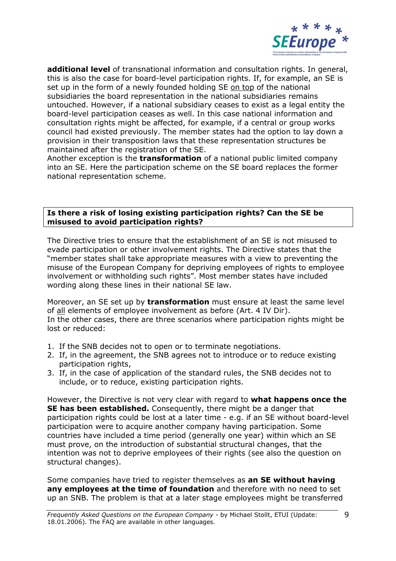

additional level of transnational information and consultation rights. In general, this is also the case for board-level participation rights. If, for example, an SE is set up in the form of a newly founded holding SE on top of the national subsidiaries the board representation in the national subsidiaries remains untouched. However, if a national subsidiary ceases to exist as a legal entity the board-level participation ceases as well. In this case national information and consultation rights might be affected, for example, if a central or group works council had existed previously. The member states had the option to lay down a provision in their transposition laws that these representation structures be maintained after the registration of the SE.

Another exception is the **transformation** of a national public limited company into an SE. Here the participation scheme on the SE board replaces the former national representation scheme.

# Is there a risk of losing existing participation rights? Can the SE be misused to avoid participation rights?

The Directive tries to ensure that the establishment of an SE is not misused to evade participation or other involvement rights. The Directive states that the "member states shall take appropriate measures with a view to preventing the misuse of the European Company for depriving employees of rights to employee involvement or withholding such rights". Most member states have included wording along these lines in their national SE law.

Moreover, an SE set up by transformation must ensure at least the same level of all elements of employee involvement as before (Art. 4 IV Dir). In the other cases, there are three scenarios where participation rights might be lost or reduced:

- 1. If the SNB decides not to open or to terminate negotiations.
- 2. If, in the agreement, the SNB agrees not to introduce or to reduce existing participation rights,
- 3. If, in the case of application of the standard rules, the SNB decides not to include, or to reduce, existing participation rights.

However, the Directive is not very clear with regard to **what happens once the** SE has been established. Consequently, there might be a danger that participation rights could be lost at a later time - e.g. if an SE without board-level participation were to acquire another company having participation. Some countries have included a time period (generally one year) within which an SE must prove, on the introduction of substantial structural changes, that the intention was not to deprive employees of their rights (see also the question on structural changes).

Some companies have tried to register themselves as an SE without having any employees at the time of foundation and therefore with no need to set up an SNB. The problem is that at a later stage employees might be transferred